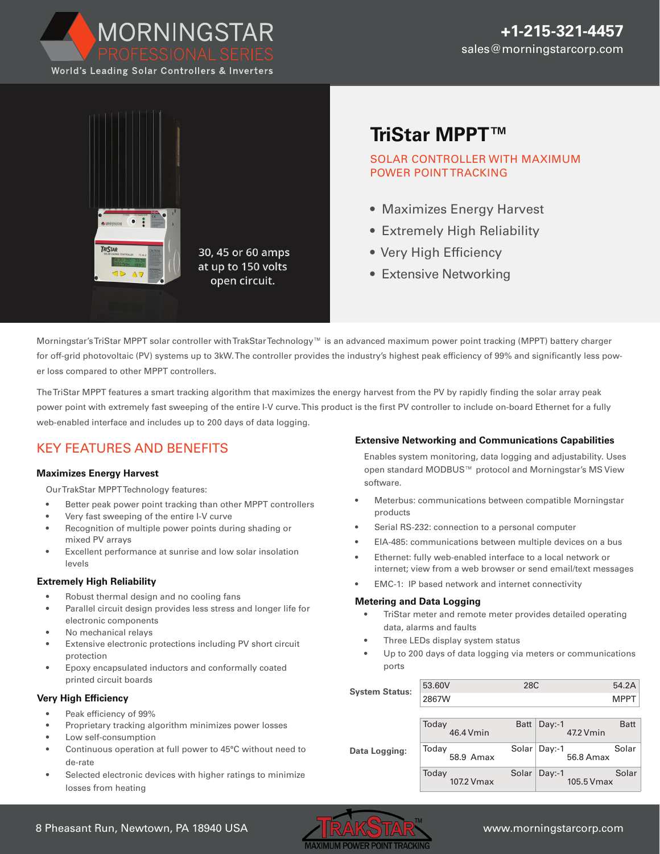



# **[TriStar MPPT™](https://www.altestore.com/store/charge-controllers/solar-charge-controllers/mppt-solar-charge-controllers/morningstar-mppt-solar-controllers/morningstar-tristar-ts-mppt-45-45a-mppt-charge-controller-p7727/)**

SOLAR CONTROLLER WITH MAXIMUM POWER POINT TRACKING

- Maximizes Energy Harvest
- Extremely High Reliability
- Very High Efficiency
- Extensive Networking

Morningstar's TriStar MPPT solar controller with TrakStar Technology™ is an advanced maximum power point tracking (MPPT) battery charger for off-grid photovoltaic (PV) systems up to 3kW. The controller provides the industry's highest peak efficiency of 99% and significantly less power loss compared to other MPPT controllers.

The TriStar MPPT features a smart tracking algorithm that maximizes the energy harvest from the PV by rapidly finding the solar array peak power point with extremely fast sweeping of the entire I-V curve. This product is the first PV controller to include on-board Ethernet for a fully web-enabled interface and includes up to 200 days of data logging.

# KEY FEATURES AND BENEFITS

#### **Maximizes Energy Harvest**

Our TrakStar MPPT Technology features:

- Better peak power point tracking than other MPPT controllers
- Very fast sweeping of the entire I-V curve
- Recognition of multiple power points during shading or mixed PV arrays
- Excellent performance at sunrise and low solar insolation levels

#### **Extremely High Reliability**

- Robust thermal design and no cooling fans
- Parallel circuit design provides less stress and longer life for electronic components
- No mechanical relays
- Extensive electronic protections including PV short circuit protection
- Epoxy encapsulated inductors and conformally coated printed circuit boards

### **Very High Efficiency**

- Peak efficiency of 99%
- Proprietary tracking algorithm minimizes power losses
- Low self-consumption
- Continuous operation at full power to 45°C without need to de-rate
- Selected electronic devices with higher ratings to minimize losses from heating

### **Extensive Networking and Communications Capabilities**

Enables system monitoring, data logging and adjustability. Uses open standard MODBUS™ protocol and Morningstar's MS View software.

- Meterbus: communications between compatible Morningstar products
- Serial RS-232: connection to a personal computer
- EIA-485: communications between multiple devices on a bus
- Ethernet: fully web-enabled interface to a local network or internet; view from a web browser or send email/text messages
- EMC-1: IP based network and internet connectivity

#### **Metering and Data Logging**

- TriStar meter and remote meter provides detailed operating data, alarms and faults
- Three LEDs display system status
- Up to 200 days of data logging via meters or communications ports

| <b>System Status:</b> | 53.60V | 28C |      |
|-----------------------|--------|-----|------|
|                       | 2867W  |     | MPPT |

|               | Today<br>46.4 Vmin  | Batt $\vert$ Day:-1<br>47.2 Vmin | Batt  |
|---------------|---------------------|----------------------------------|-------|
| Data Logging: | Today<br>58.9 Amax  | Solar   Day:-1<br>56.8 Amax      | Solar |
|               | Today<br>107.2 Vmax | $Solar   Day:-1$<br>105.5 Vmax   | Solar |